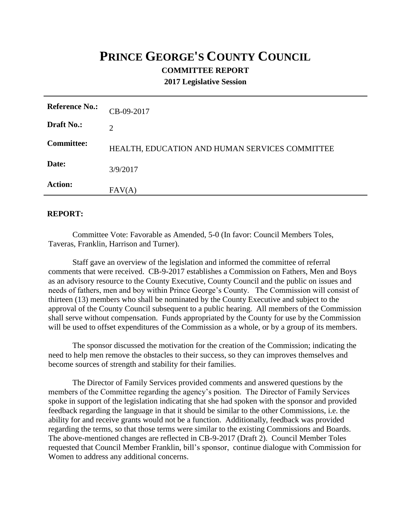## **PRINCE GEORGE'S COUNTY COUNCIL COMMITTEE REPORT**

**2017 Legislative Session**

| <b>Reference No.:</b> | CB-09-2017                                     |
|-----------------------|------------------------------------------------|
| Draft No.:            | 2                                              |
| <b>Committee:</b>     | HEALTH, EDUCATION AND HUMAN SERVICES COMMITTEE |
| Date:                 | 3/9/2017                                       |
| <b>Action:</b>        | FAV(A)                                         |

## **REPORT:**

Committee Vote: Favorable as Amended, 5-0 (In favor: Council Members Toles, Taveras, Franklin, Harrison and Turner).

Staff gave an overview of the legislation and informed the committee of referral comments that were received. CB-9-2017 establishes a Commission on Fathers, Men and Boys as an advisory resource to the County Executive, County Council and the public on issues and needs of fathers, men and boy within Prince George's County. The Commission will consist of thirteen (13) members who shall be nominated by the County Executive and subject to the approval of the County Council subsequent to a public hearing. All members of the Commission shall serve without compensation. Funds appropriated by the County for use by the Commission will be used to offset expenditures of the Commission as a whole, or by a group of its members.

The sponsor discussed the motivation for the creation of the Commission; indicating the need to help men remove the obstacles to their success, so they can improves themselves and become sources of strength and stability for their families.

The Director of Family Services provided comments and answered questions by the members of the Committee regarding the agency's position. The Director of Family Services spoke in support of the legislation indicating that she had spoken with the sponsor and provided feedback regarding the language in that it should be similar to the other Commissions, i.e. the ability for and receive grants would not be a function. Additionally, feedback was provided regarding the terms, so that those terms were similar to the existing Commissions and Boards. The above-mentioned changes are reflected in CB-9-2017 (Draft 2). Council Member Toles requested that Council Member Franklin, bill's sponsor, continue dialogue with Commission for Women to address any additional concerns.